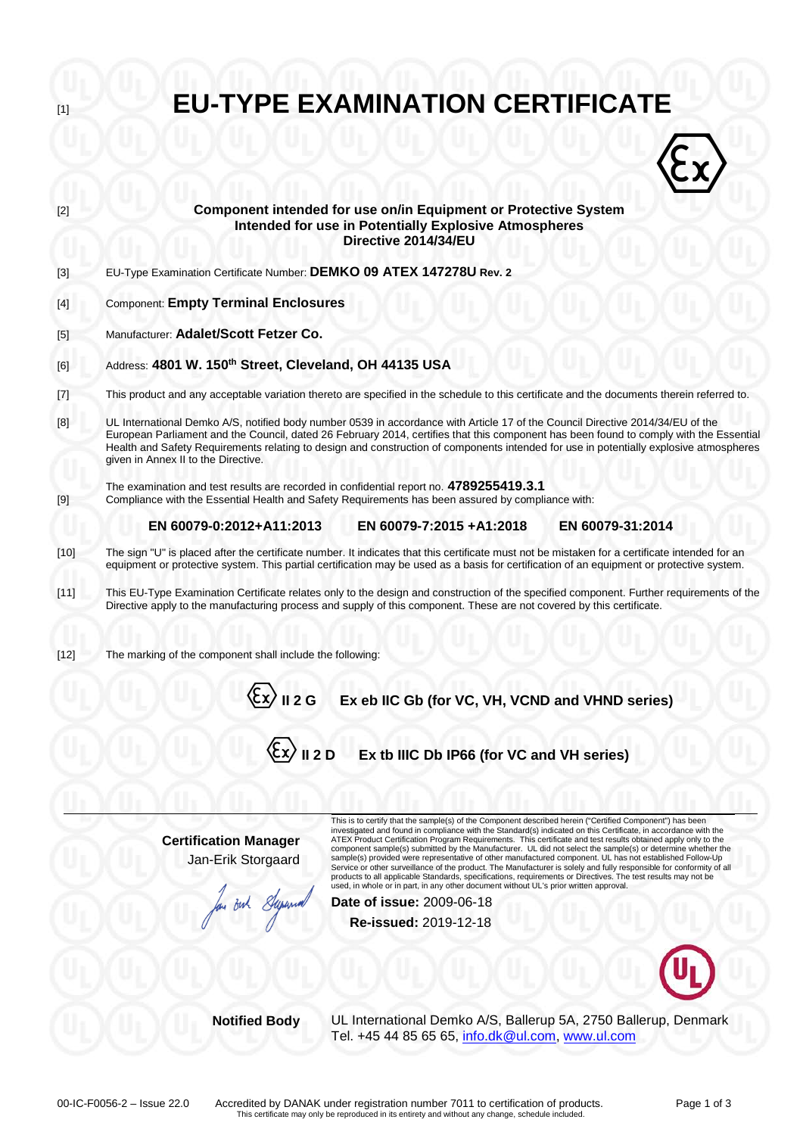| $[1]$                                                                                                                                                                                              | <b>EU-TYPE EXAMINATION CERTIFICATE</b>                                                                                                                                                                                                                                                                                                                                                                                                                    |  |  |  |  |  |  |  |
|----------------------------------------------------------------------------------------------------------------------------------------------------------------------------------------------------|-----------------------------------------------------------------------------------------------------------------------------------------------------------------------------------------------------------------------------------------------------------------------------------------------------------------------------------------------------------------------------------------------------------------------------------------------------------|--|--|--|--|--|--|--|
|                                                                                                                                                                                                    |                                                                                                                                                                                                                                                                                                                                                                                                                                                           |  |  |  |  |  |  |  |
| $[2]$                                                                                                                                                                                              | Component intended for use on/in Equipment or Protective System<br>Intended for use in Potentially Explosive Atmospheres<br>Directive 2014/34/EU                                                                                                                                                                                                                                                                                                          |  |  |  |  |  |  |  |
| $[3]$                                                                                                                                                                                              | EU-Type Examination Certificate Number: DEMKO 09 ATEX 147278U Rev. 2                                                                                                                                                                                                                                                                                                                                                                                      |  |  |  |  |  |  |  |
| $[4]$                                                                                                                                                                                              | <b>Component: Empty Terminal Enclosures</b>                                                                                                                                                                                                                                                                                                                                                                                                               |  |  |  |  |  |  |  |
| $[5]$                                                                                                                                                                                              | Manufacturer: Adalet/Scott Fetzer Co.                                                                                                                                                                                                                                                                                                                                                                                                                     |  |  |  |  |  |  |  |
| [6]                                                                                                                                                                                                | Address: 4801 W. 150 <sup>th</sup> Street, Cleveland, OH 44135 USA                                                                                                                                                                                                                                                                                                                                                                                        |  |  |  |  |  |  |  |
| $[7] \centering% \includegraphics[width=1\textwidth]{images/TransY.pdf} \caption{The first two different values of $d=3$ and $d=4$ (left) and $d=5$ (right) and $d=6$ (right).} \label{fig:class}$ | This product and any acceptable variation thereto are specified in the schedule to this certificate and the documents therein referred to.                                                                                                                                                                                                                                                                                                                |  |  |  |  |  |  |  |
| [8]                                                                                                                                                                                                | UL International Demko A/S, notified body number 0539 in accordance with Article 17 of the Council Directive 2014/34/EU of the<br>European Parliament and the Council, dated 26 February 2014, certifies that this component has been found to comply with the Essential<br>Health and Safety Requirements relating to design and construction of components intended for use in potentially explosive atmospheres<br>given in Annex II to the Directive. |  |  |  |  |  |  |  |
| $[9]$                                                                                                                                                                                              | The examination and test results are recorded in confidential report no. 4789255419.3.1<br>Compliance with the Essential Health and Safety Requirements has been assured by compliance with:                                                                                                                                                                                                                                                              |  |  |  |  |  |  |  |
|                                                                                                                                                                                                    | EN 60079-7:2015 +A1:2018<br>EN 60079-31:2014<br>EN 60079-0:2012+A11:2013                                                                                                                                                                                                                                                                                                                                                                                  |  |  |  |  |  |  |  |
| $[10]$                                                                                                                                                                                             | The sign "U" is placed after the certificate number. It indicates that this certificate must not be mistaken for a certificate intended for an<br>equipment or protective system. This partial certification may be used as a basis for certification of an equipment or protective system.                                                                                                                                                               |  |  |  |  |  |  |  |
| $[11]$                                                                                                                                                                                             | This EU-Type Examination Certificate relates only to the design and construction of the specified component. Further requirements of the<br>Directive apply to the manufacturing process and supply of this component. These are not covered by this certificate.                                                                                                                                                                                         |  |  |  |  |  |  |  |
| $[12]$                                                                                                                                                                                             | The marking of the component shall include the following:                                                                                                                                                                                                                                                                                                                                                                                                 |  |  |  |  |  |  |  |
|                                                                                                                                                                                                    | II 2 G<br>Ex eb IIC Gb (for VC, VH, VCND and VHND series)                                                                                                                                                                                                                                                                                                                                                                                                 |  |  |  |  |  |  |  |
|                                                                                                                                                                                                    | $\langle \xi$ x $\rangle$ II 2 D<br>Ex tb IIIC Db IP66 (for VC and VH series)                                                                                                                                                                                                                                                                                                                                                                             |  |  |  |  |  |  |  |
|                                                                                                                                                                                                    | This is to certify that the sample(s) of the Component described herein ("Certified Component") has been                                                                                                                                                                                                                                                                                                                                                  |  |  |  |  |  |  |  |
|                                                                                                                                                                                                    | investigated and found in compliance with the Standard(s) indicated on this Certificate, in accordance with the<br><b>Certification Manager</b><br>ATEX Product Certification Program Requirements. This certificate and test results obtained apply only to the<br>component sample(s) submitted by the Manufacturer. UL did not select the sample(s) or determine whether the                                                                           |  |  |  |  |  |  |  |
|                                                                                                                                                                                                    | Jan-Erik Storgaard<br>sample(s) provided were representative of other manufactured component. UL has not established Follow-Up<br>Service or other surveillance of the product. The Manufacturer is solely and fully responsible for conformity of all<br>products to all applicable Standards, specifications, requirements or Directives. The test results may not be                                                                                   |  |  |  |  |  |  |  |
|                                                                                                                                                                                                    | used, in whole or in part, in any other document without UL's prior written approval.<br><b>Date of issue: 2009-06-18</b><br>But                                                                                                                                                                                                                                                                                                                          |  |  |  |  |  |  |  |
|                                                                                                                                                                                                    | Re-issued: 2019-12-18                                                                                                                                                                                                                                                                                                                                                                                                                                     |  |  |  |  |  |  |  |
|                                                                                                                                                                                                    |                                                                                                                                                                                                                                                                                                                                                                                                                                                           |  |  |  |  |  |  |  |
|                                                                                                                                                                                                    | <b>Notified Body</b><br>UL International Demko A/S, Ballerup 5A, 2750 Ballerup, Denmark<br>Tel. +45 44 85 65 65, info.dk@ul.com, www.ul.com                                                                                                                                                                                                                                                                                                               |  |  |  |  |  |  |  |
|                                                                                                                                                                                                    |                                                                                                                                                                                                                                                                                                                                                                                                                                                           |  |  |  |  |  |  |  |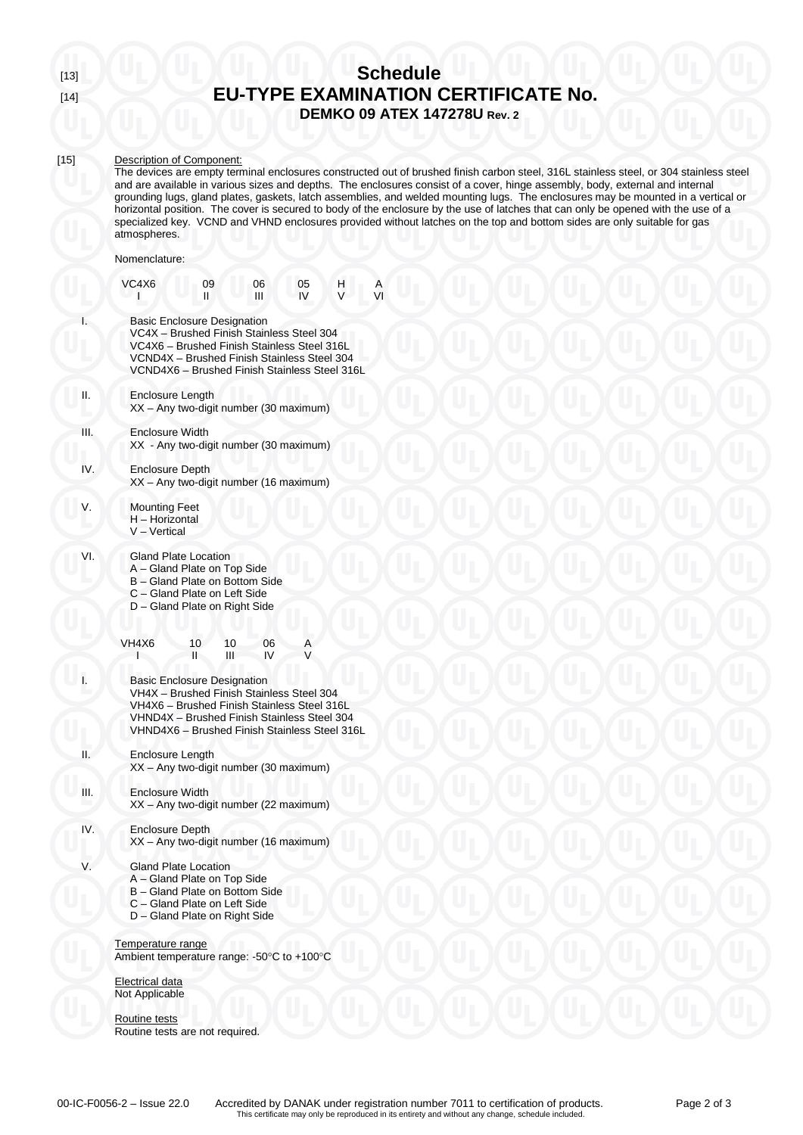# [13] **Schedule** [14] **EU-TYPE EXAMINATION CERTIFICATE No. DEMKO 09 ATEX 147278U Rev. 2**

### [15] Description of Component:

The devices are empty terminal enclosures constructed out of brushed finish carbon steel, 316L stainless steel, or 304 stainless steel and are available in various sizes and depths. The enclosures consist of a cover, hinge assembly, body, external and internal grounding lugs, gland plates, gaskets, latch assemblies, and welded mounting lugs. The enclosures may be mounted in a vertical or horizontal position. The cover is secured to body of the enclosure by the use of latches that can only be opened with the use of a specialized key. VCND and VHND enclosures provided without latches on the top and bottom sides are only suitable for gas atmospheres.

### Nomenclature:

|      | VC4X6                                                                                                                                                                                                                          | 09<br>Ш                                                                                                                                                                                                                        | 06<br>Ш  | 05<br>IV | H, | Α<br>VI |  |  |
|------|--------------------------------------------------------------------------------------------------------------------------------------------------------------------------------------------------------------------------------|--------------------------------------------------------------------------------------------------------------------------------------------------------------------------------------------------------------------------------|----------|----------|----|---------|--|--|
| I.   | <b>Basic Enclosure Designation</b><br>VC4X - Brushed Finish Stainless Steel 304<br>VC4X6 - Brushed Finish Stainless Steel 316L<br>VCND4X – Brushed Finish Stainless Steel 304<br>VCND4X6 - Brushed Finish Stainless Steel 316L |                                                                                                                                                                                                                                |          |          |    |         |  |  |
| н.   | Enclosure Length                                                                                                                                                                                                               | XX - Any two-digit number (30 maximum)                                                                                                                                                                                         |          |          |    |         |  |  |
| Ш.   | Enclosure Width                                                                                                                                                                                                                | XX - Any two-digit number (30 maximum)                                                                                                                                                                                         |          |          |    |         |  |  |
| IV.  | <b>Enclosure Depth</b>                                                                                                                                                                                                         | XX - Any two-digit number (16 maximum)                                                                                                                                                                                         |          |          |    |         |  |  |
| V.   | <b>Mounting Feet</b><br>H - Horizontal<br>V - Vertical                                                                                                                                                                         |                                                                                                                                                                                                                                |          |          |    |         |  |  |
| VI.  |                                                                                                                                                                                                                                | <b>Gland Plate Location</b><br>A – Gland Plate on Top Side<br>B - Gland Plate on Bottom Side<br>C - Gland Plate on Left Side<br>D - Gland Plate on Right Side                                                                  |          |          |    |         |  |  |
|      | VH4X6                                                                                                                                                                                                                          | 10<br>10<br>н<br>Ш                                                                                                                                                                                                             | 06<br>IV | Α        |    |         |  |  |
| Ī.   |                                                                                                                                                                                                                                | <b>Basic Enclosure Designation</b><br>VH4X - Brushed Finish Stainless Steel 304<br>VH4X6 - Brushed Finish Stainless Steel 316L<br>VHND4X - Brushed Finish Stainless Steel 304<br>VHND4X6 - Brushed Finish Stainless Steel 316L |          |          |    |         |  |  |
| Н.   | <b>Enclosure Length</b>                                                                                                                                                                                                        | XX - Any two-digit number (30 maximum)                                                                                                                                                                                         |          |          |    |         |  |  |
| III. | <b>Enclosure Width</b>                                                                                                                                                                                                         | XX - Any two-digit number (22 maximum)                                                                                                                                                                                         |          |          |    |         |  |  |
| IV.  | Enclosure Depth                                                                                                                                                                                                                | XX - Any two-digit number (16 maximum)                                                                                                                                                                                         |          |          |    |         |  |  |
| V.   |                                                                                                                                                                                                                                | <b>Gland Plate Location</b><br>A - Gland Plate on Top Side<br>B - Gland Plate on Bottom Side<br>C - Gland Plate on Left Side<br>D - Gland Plate on Right Side                                                                  |          |          |    |         |  |  |
|      | Temperature range<br>Ambient temperature range: -50°C to +100°C                                                                                                                                                                |                                                                                                                                                                                                                                |          |          |    |         |  |  |
|      | Electrical data<br>Not Applicable                                                                                                                                                                                              |                                                                                                                                                                                                                                |          |          |    |         |  |  |
|      | Routine tests<br>Routine tests are not required.                                                                                                                                                                               |                                                                                                                                                                                                                                |          |          |    |         |  |  |